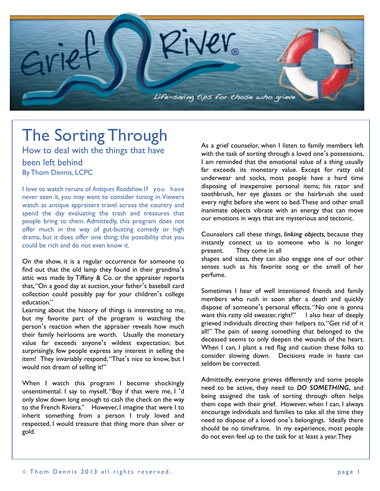

# The Sorting Through

How to deal with the things that have been left behind By Thom Dennis, LCPC

I love to watch reruns of *Antiques Roadshow.*If you have never seen it, you may want to consider tuning in. Viewers watch as antique appraisers travel across the country and spend the day evaluating the trash and treasures that people bring to them. Admittedly, this program does not offer much in the way of gut-busting comedy or high drama, but it does offer one thing; the possibility that you could be rich and do not even know it.

On the show, it is a regular occurrence for someone to find out that the old lamp they found in their grandma's attic was made by Tiffany & Co. or the appraiser reports that, "On a good day at auction, your father's baseball card collection could possibly pay for your children's college education."

Learning about the history of things is interesting to me, but my favorite part of the program is watching the person's reaction when the appraiser reveals how much their family heirlooms are worth. Usually the monetary value far exceeds anyone's wildest expectation; but surprisingly, few people express any interest in selling the item! They invariably respond, "That's nice to know, but I would not dream of selling it!"

When I watch this program I become shockingly unsentimental. I say to myself, "Boy if that were me, I 'd only slow down long enough to cash the check on the way to the French Riviera." However, I imagine that were I to inherit something from a person I truly loved and respected, I would treasure that thing more than silver or gold.

As a grief counselor, when I listen to family members left with the task of sorting through a loved one's possessions, I am reminded that the emotional value of a thing usually far exceeds its monetary value. Except for ratty old underwear and socks, most people have a hard time disposing of inexpensive personal items; his razor and toothbrush, her eye glasses or the hairbrush she used every night before she went to bed. These and other small inanimate objects vibrate with an energy that can move our emotions in ways that are mysterious and tectonic.

Counselors call these things, *linking objects,* because they instantly connect us to someone who is no longer present. They come in all shapes and sizes, they can also engage one of our other senses such as his favorite song or the smell of her perfume.

Sometimes I hear of well intentioned friends and family members who rush in soon after a death and quickly dispose of someone's personal effects, "No one is gonna want this ratty old sweater, right?" I also hear of deeply grieved individuals directing their helpers to, "Get rid of it all!" The pain of seeing something that belonged to the deceased seems to only deepen the wounds of the heart. When I can, I plant a red flag and caution these folks to consider slowing down. Decisions made in haste can seldom be corrected.

Admittedly, everyone grieves differently and some people need to be active, they need to *DO SOMETHING***,** and being assigned the task of sorting through often helps them cope with their grief. However, when I can, I always encourage individuals and families to take all the time they need to dispose of a loved one's belongings. Ideally there should be no timeframe. In my experience, most people do not even feel up to the task for at least a year. They